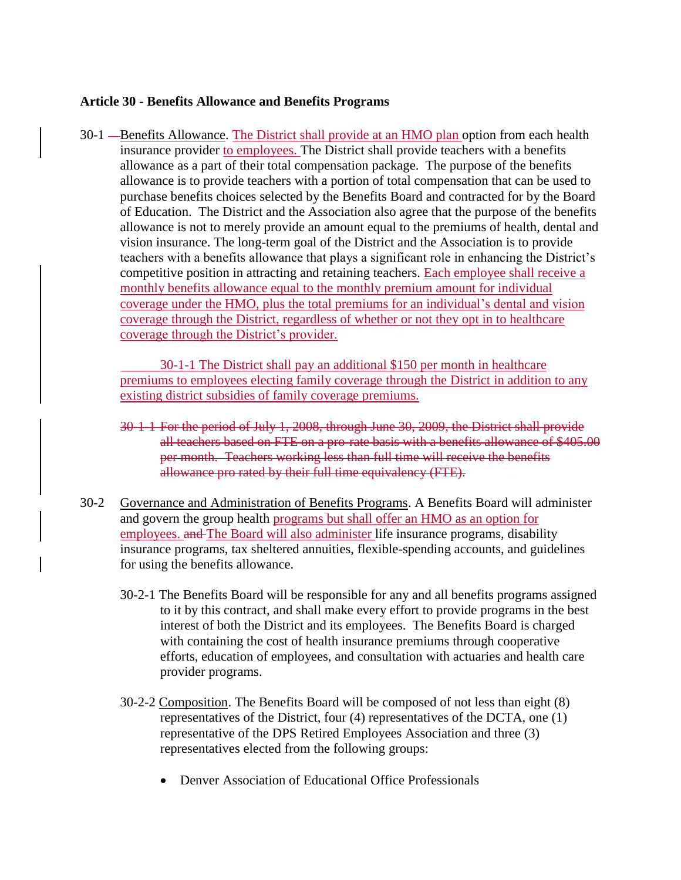## **Article 30 - Benefits Allowance and Benefits Programs**

30-1 — Benefits Allowance. The District shall provide at an HMO plan option from each health insurance provider to employees. The District shall provide teachers with a benefits allowance as a part of their total compensation package. The purpose of the benefits allowance is to provide teachers with a portion of total compensation that can be used to purchase benefits choices selected by the Benefits Board and contracted for by the Board of Education. The District and the Association also agree that the purpose of the benefits allowance is not to merely provide an amount equal to the premiums of health, dental and vision insurance. The long-term goal of the District and the Association is to provide teachers with a benefits allowance that plays a significant role in enhancing the District's competitive position in attracting and retaining teachers. Each employee shall receive a monthly benefits allowance equal to the monthly premium amount for individual coverage under the HMO, plus the total premiums for an individual's dental and vision coverage through the District, regardless of whether or not they opt in to healthcare coverage through the District's provider.

30-1-1 The District shall pay an additional \$150 per month in healthcare premiums to employees electing family coverage through the District in addition to any existing district subsidies of family coverage premiums.

- 30-1-1 For the period of July 1, 2008, through June 30, 2009, the District shall provide all teachers based on FTE on a pro-rate basis with a benefits allowance of \$405.00 per month. Teachers working less than full time will receive the benefits allowance pro rated by their full time equivalency (FTE).
- 30-2 Governance and Administration of Benefits Programs. A Benefits Board will administer and govern the group health programs but shall offer an HMO as an option for employees. and The Board will also administer life insurance programs, disability insurance programs, tax sheltered annuities, flexible-spending accounts, and guidelines for using the benefits allowance.
	- 30-2-1 The Benefits Board will be responsible for any and all benefits programs assigned to it by this contract, and shall make every effort to provide programs in the best interest of both the District and its employees. The Benefits Board is charged with containing the cost of health insurance premiums through cooperative efforts, education of employees, and consultation with actuaries and health care provider programs.
	- 30-2-2 Composition. The Benefits Board will be composed of not less than eight (8) representatives of the District, four (4) representatives of the DCTA, one (1) representative of the DPS Retired Employees Association and three (3) representatives elected from the following groups:
		- Denver Association of Educational Office Professionals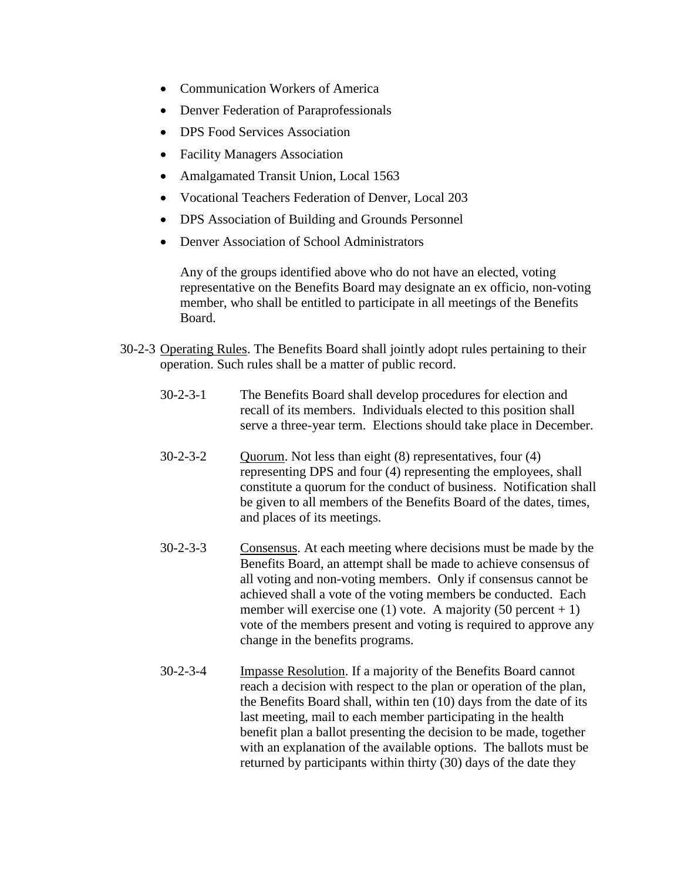- Communication Workers of America
- Denver Federation of Paraprofessionals
- DPS Food Services Association
- Facility Managers Association
- Amalgamated Transit Union, Local 1563
- Vocational Teachers Federation of Denver, Local 203
- DPS Association of Building and Grounds Personnel
- Denver Association of School Administrators

Any of the groups identified above who do not have an elected, voting representative on the Benefits Board may designate an ex officio, non-voting member, who shall be entitled to participate in all meetings of the Benefits Board.

- 30-2-3 Operating Rules. The Benefits Board shall jointly adopt rules pertaining to their operation. Such rules shall be a matter of public record.
	- 30-2-3-1 The Benefits Board shall develop procedures for election and recall of its members. Individuals elected to this position shall serve a three-year term. Elections should take place in December.
	- 30-2-3-2 Quorum. Not less than eight (8) representatives, four (4) representing DPS and four (4) representing the employees, shall constitute a quorum for the conduct of business. Notification shall be given to all members of the Benefits Board of the dates, times, and places of its meetings.
	- 30-2-3-3 Consensus. At each meeting where decisions must be made by the Benefits Board, an attempt shall be made to achieve consensus of all voting and non-voting members. Only if consensus cannot be achieved shall a vote of the voting members be conducted. Each member will exercise one (1) vote. A majority (50 percent  $+ 1$ ) vote of the members present and voting is required to approve any change in the benefits programs.
	- 30-2-3-4 Impasse Resolution. If a majority of the Benefits Board cannot reach a decision with respect to the plan or operation of the plan, the Benefits Board shall, within ten (10) days from the date of its last meeting, mail to each member participating in the health benefit plan a ballot presenting the decision to be made, together with an explanation of the available options. The ballots must be returned by participants within thirty (30) days of the date they